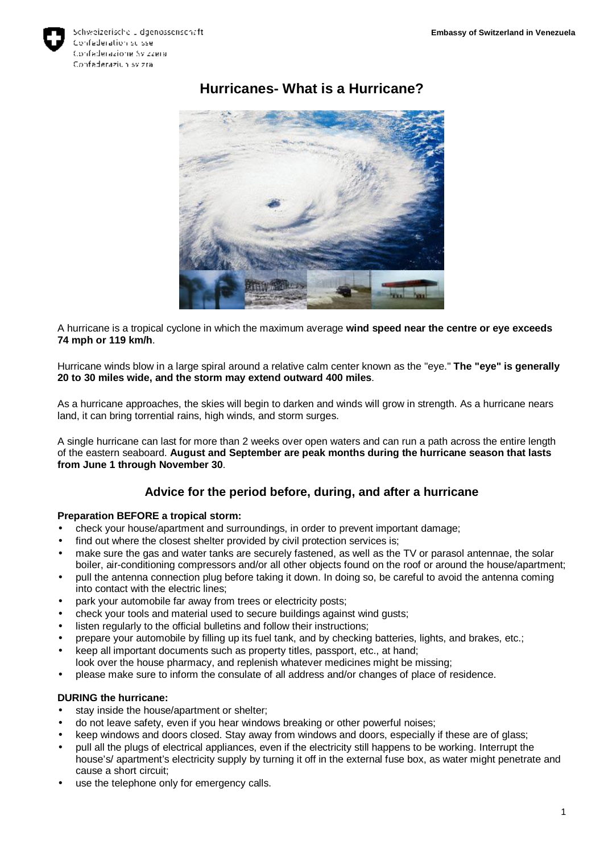

# **Hurricanes- What is a Hurricane?**



A hurricane is a tropical cyclone in which the maximum average **wind speed near the centre or eye exceeds 74 mph or 119 km/h**.

Hurricane winds blow in a large spiral around a relative calm center known as the "eye." **The "eye" is generally 20 to 30 miles wide, and the storm may extend outward 400 miles**.

As a hurricane approaches, the skies will begin to darken and winds will grow in strength. As a hurricane nears land, it can bring torrential rains, high winds, and storm surges.

A single hurricane can last for more than 2 weeks over open waters and can run a path across the entire length of the eastern seaboard. **August and September are peak months during the hurricane season that lasts from June 1 through November 30**.

## **Advice for the period before, during, and after a hurricane**

#### **Preparation BEFORE a tropical storm:**

- check your house/apartment and surroundings, in order to prevent important damage;
- find out where the closest shelter provided by civil protection services is;
- make sure the gas and water tanks are securely fastened, as well as the TV or parasol antennae, the solar boiler, air-conditioning compressors and/or all other objects found on the roof or around the house/apartment;
- pull the antenna connection plug before taking it down. In doing so, be careful to avoid the antenna coming into contact with the electric lines;
- park your automobile far away from trees or electricity posts;
- check your tools and material used to secure buildings against wind gusts;
- listen regularly to the official bulletins and follow their instructions;
- prepare your automobile by filling up its fuel tank, and by checking batteries, lights, and brakes, etc.;
- keep all important documents such as property titles, passport, etc., at hand; look over the house pharmacy, and replenish whatever medicines might be missing;
- please make sure to inform the consulate of all address and/or changes of place of residence.

#### **DURING the hurricane:**

- stay inside the house/apartment or shelter;
- do not leave safety, even if you hear windows breaking or other powerful noises;
- keep windows and doors closed. Stay away from windows and doors, especially if these are of glass;
- pull all the plugs of electrical appliances, even if the electricity still happens to be working. Interrupt the house's/ apartment's electricity supply by turning it off in the external fuse box, as water might penetrate and cause a short circuit;
- use the telephone only for emergency calls.